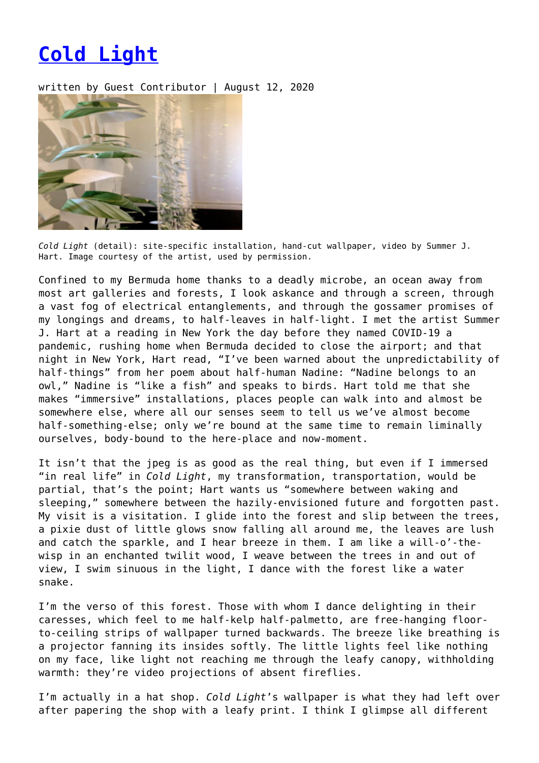## **[Cold Light](https://entropymag.org/cold-light/)**

written by Guest Contributor | August 12, 2020



*Cold Light* (detail): site-specific installation, hand-cut wallpaper, video by Summer J. Hart. Image courtesy of the artist, used by permission.

Confined to my Bermuda home thanks to a deadly microbe, an ocean away from most art galleries and forests, I look askance and through a screen, through a vast fog of electrical entanglements, and through the gossamer promises of my longings and dreams, to half-leaves in half-light. I met the artist Summer J. Hart at a reading in New York the day before they named COVID-19 a pandemic, rushing home when Bermuda decided to close the airport; and that night in New York, Hart read, "I've been warned about the unpredictability of half-things" from her poem about half-human Nadine: "Nadine belongs to an owl," Nadine is "like a fish" and speaks to birds. Hart told me that she makes "immersive" installations, places people can walk into and almost be somewhere else, where all our senses seem to tell us we've almost become half-something-else; only we're bound at the same time to remain liminally ourselves, body-bound to the here-place and now-moment.

It isn't that the jpeg is as good as the real thing, but even if I immersed "in real life" in *Cold Light*, my transformation, transportation, would be partial, that's the point; Hart wants us "somewhere between waking and sleeping," somewhere between the hazily-envisioned future and forgotten past. My visit is a visitation. I glide into the forest and slip between the trees, a pixie dust of little glows snow falling all around me, the leaves are lush and catch the sparkle, and I hear breeze in them. I am like a will-o'-thewisp in an enchanted twilit wood, I weave between the trees in and out of view, I swim sinuous in the light, I dance with the forest like a water snake.

I'm the verso of this forest. Those with whom I dance delighting in their caresses, which feel to me half-kelp half-palmetto, are free-hanging floorto-ceiling strips of wallpaper turned backwards. The breeze like breathing is a projector fanning its insides softly. The little lights feel like nothing on my face, like light not reaching me through the leafy canopy, withholding warmth: they're video projections of absent fireflies.

I'm actually in a hat shop. *Cold Light*'s wallpaper is what they had left over after papering the shop with a leafy print. I think I glimpse all different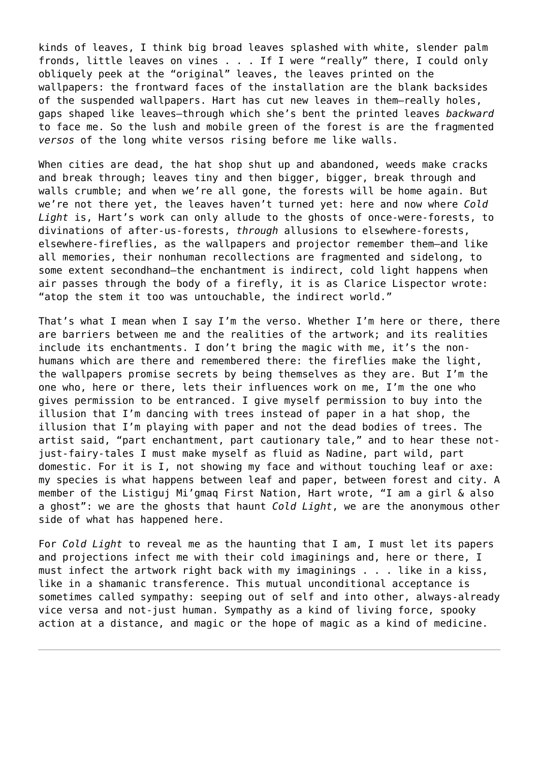kinds of leaves, I think big broad leaves splashed with white, slender palm fronds, little leaves on vines . . . If I were "really" there, I could only obliquely peek at the "original" leaves, the leaves printed on the wallpapers: the frontward faces of the installation are the blank backsides of the suspended wallpapers. Hart has cut new leaves in them—really holes, gaps shaped like leaves—through which she's bent the printed leaves *backward* to face me. So the lush and mobile green of the forest is are the fragmented *versos* of the long white versos rising before me like walls.

When cities are dead, the hat shop shut up and abandoned, weeds make cracks and break through; leaves tiny and then bigger, bigger, break through and walls crumble; and when we're all gone, the forests will be home again. But we're not there yet, the leaves haven't turned yet: here and now where *Cold Light* is, Hart's work can only allude to the ghosts of once-were-forests, to divinations of after-us-forests, *through* allusions to elsewhere-forests, elsewhere-fireflies, as the wallpapers and projector remember them—and like all memories, their nonhuman recollections are fragmented and sidelong, to some extent secondhand—the enchantment is indirect, cold light happens when air passes through the body of a firefly, it is as Clarice Lispector wrote: "atop the stem it too was untouchable, the indirect world."

That's what I mean when I say I'm the verso. Whether I'm here or there, there are barriers between me and the realities of the artwork; and its realities include its enchantments. I don't bring the magic with me, it's the nonhumans which are there and remembered there: the fireflies make the light, the wallpapers promise secrets by being themselves as they are. But I'm the one who, here or there, lets their influences work on me, I'm the one who gives permission to be entranced. I give myself permission to buy into the illusion that I'm dancing with trees instead of paper in a hat shop, the illusion that I'm playing with paper and not the dead bodies of trees. The artist said, "part enchantment, part cautionary tale," and to hear these notjust-fairy-tales I must make myself as fluid as Nadine, part wild, part domestic. For it is I, not showing my face and without touching leaf or axe: my species is what happens between leaf and paper, between forest and city. A member of the Listiguj Mi'gmaq First Nation, Hart wrote, "I am a girl & also a ghost": we are the ghosts that haunt *Cold Light*, we are the anonymous other side of what has happened here.

For *Cold Light* to reveal me as the haunting that I am, I must let its papers and projections infect me with their cold imaginings and, here or there, I must infect the artwork right back with my imaginings . . . like in a kiss, like in a shamanic transference. This mutual unconditional acceptance is sometimes called sympathy: seeping out of self and into other, always-already vice versa and not-just human. Sympathy as a kind of living force, spooky action at a distance, and magic or the hope of magic as a kind of medicine.